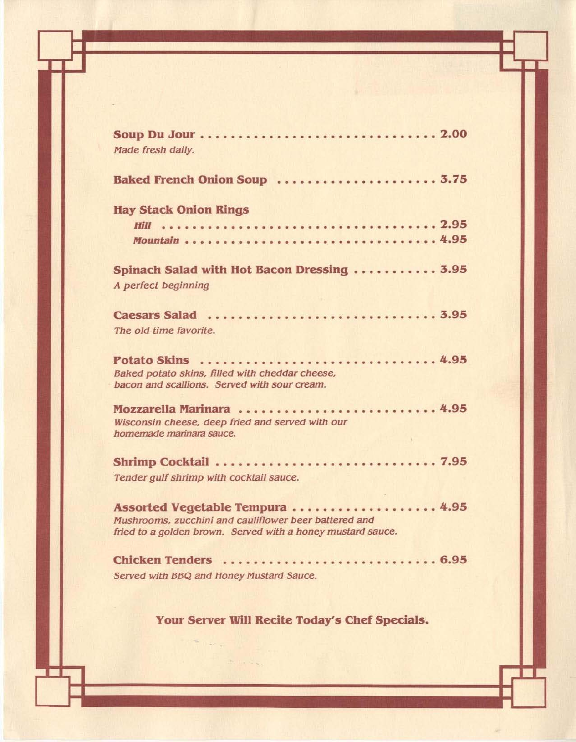| Made fresh daily.                                                                                                    |
|----------------------------------------------------------------------------------------------------------------------|
| Baked French Onion Soup  3.75                                                                                        |
| <b>Hay Stack Onion Rings</b>                                                                                         |
|                                                                                                                      |
| Spinach Salad with Hot Bacon Dressing  3.95                                                                          |
| A perfect beginning                                                                                                  |
| The old time favorite.                                                                                               |
| Potato Skins  4.95<br>Baked potato skins, filled with cheddar cheese,                                                |
| bacon and scallions. Served with sour cream.<br>Mozzarella Marinara  4.95                                            |
| Wisconsin cheese, deep fried and served with our<br>homemade marinara sauce.                                         |
| Tender gulf shrimp with cocktail sauce.                                                                              |
| Assorted Vegetable Tempura  4.95                                                                                     |
| Mushrooms, zucchini and cauliflower beer battered and<br>fried to a golden brown. Served with a honey mustard sauce. |
| Chicken Tenders  6.95<br>Served with BBQ and Honey Mustard Sauce.                                                    |
|                                                                                                                      |

**Arm Link Hotel** 

Your Server Will Recite Today's Chef Specials.

is an  $\mathbb{F}_{8\sigma}$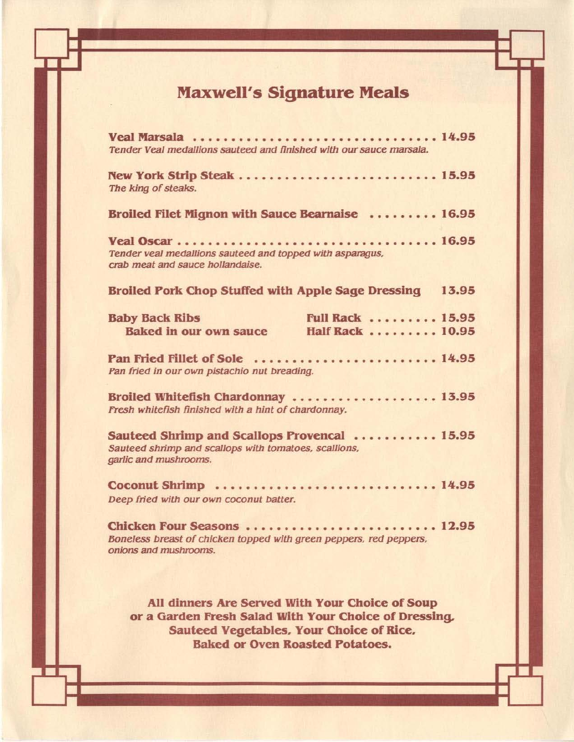## Maxwell's Signature Meals

| Veal Marsala 14.95<br>Tender Veal medallions sauteed and finished with our sauce marsala.                                                                                                      |  |  |  |  |  |  |  |  |  |  |
|------------------------------------------------------------------------------------------------------------------------------------------------------------------------------------------------|--|--|--|--|--|--|--|--|--|--|
| New York Strip Steak  15.95<br>The king of steaks.                                                                                                                                             |  |  |  |  |  |  |  |  |  |  |
| Broiled Filet Mignon with Sauce Bearnaise  16.95                                                                                                                                               |  |  |  |  |  |  |  |  |  |  |
| Tender veal medallions sauteed and topped with asparagus,<br>crab meat and sauce hollandaise.                                                                                                  |  |  |  |  |  |  |  |  |  |  |
| Broiled Pork Chop Stuffed with Apple Sage Dressing 13.95                                                                                                                                       |  |  |  |  |  |  |  |  |  |  |
| <b>Full Rack  15.95</b><br><b>Baby Back Ribs</b><br><b>Baked in our own sauce</b><br>Half Rack 10.95                                                                                           |  |  |  |  |  |  |  |  |  |  |
| Pan Fried Fillet of Sole  14.95<br>Pan fried in our own pistachio nut breading.                                                                                                                |  |  |  |  |  |  |  |  |  |  |
| Broiled Whitefish Chardonnay  13.95<br>Fresh whitefish finished with a hint of chardonnay.                                                                                                     |  |  |  |  |  |  |  |  |  |  |
| Sauteed Shrimp and Scallops Provencal  15.95<br>Sauteed shrimp and scallops with tomatoes, scallions,<br>garlic and mushrooms.                                                                 |  |  |  |  |  |  |  |  |  |  |
| Deep fried with our own coconut batter.                                                                                                                                                        |  |  |  |  |  |  |  |  |  |  |
| Chicken Four Seasons  12.95<br>Boneless breast of chicken topped with green peppers, red peppers,<br>onions and mushrooms.                                                                     |  |  |  |  |  |  |  |  |  |  |
| All dinners Are Served With Your Choice of Soup<br>or a Garden Fresh Salad With Your Choice of Dressing.<br>Sauteed Vegetables, Your Choice of Rice,<br><b>Baked or Oven Roasted Potatoes.</b> |  |  |  |  |  |  |  |  |  |  |